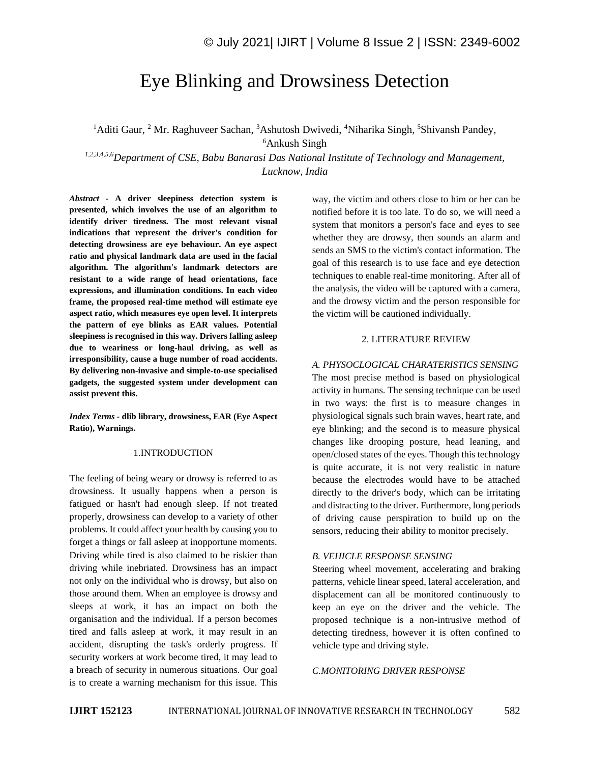# Eye Blinking and Drowsiness Detection

<sup>1</sup>Aditi Gaur, <sup>2</sup> Mr. Raghuveer Sachan, <sup>3</sup>Ashutosh Dwivedi, <sup>4</sup>Niharika Singh, <sup>5</sup>Shivansh Pandey, <sup>6</sup>Ankush Singh

*1,2,3,4,5,6Department of CSE, Babu Banarasi Das National Institute of Technology and Management, Lucknow, India*

*Abstract -* **A driver sleepiness detection system is presented, which involves the use of an algorithm to identify driver tiredness. The most relevant visual indications that represent the driver's condition for detecting drowsiness are eye behaviour. An eye aspect ratio and physical landmark data are used in the facial algorithm. The algorithm's landmark detectors are resistant to a wide range of head orientations, face expressions, and illumination conditions. In each video frame, the proposed real-time method will estimate eye aspect ratio, which measures eye open level. It interprets the pattern of eye blinks as EAR values. Potential sleepiness is recognised in this way. Drivers falling asleep due to weariness or long-haul driving, as well as irresponsibility, cause a huge number of road accidents. By delivering non-invasive and simple-to-use specialised gadgets, the suggested system under development can assist prevent this.**

*Index Terms -* **dlib library, drowsiness, EAR (Eye Aspect Ratio), Warnings.**

#### 1.INTRODUCTION

The feeling of being weary or drowsy is referred to as drowsiness. It usually happens when a person is fatigued or hasn't had enough sleep. If not treated properly, drowsiness can develop to a variety of other problems. It could affect your health by causing you to forget a things or fall asleep at inopportune moments. Driving while tired is also claimed to be riskier than driving while inebriated. Drowsiness has an impact not only on the individual who is drowsy, but also on those around them. When an employee is drowsy and sleeps at work, it has an impact on both the organisation and the individual. If a person becomes tired and falls asleep at work, it may result in an accident, disrupting the task's orderly progress. If security workers at work become tired, it may lead to a breach of security in numerous situations. Our goal is to create a warning mechanism for this issue. This way, the victim and others close to him or her can be notified before it is too late. To do so, we will need a system that monitors a person's face and eyes to see whether they are drowsy, then sounds an alarm and sends an SMS to the victim's contact information. The goal of this research is to use face and eye detection techniques to enable real-time monitoring. After all of the analysis, the video will be captured with a camera, and the drowsy victim and the person responsible for the victim will be cautioned individually.

# 2. LITERATURE REVIEW

# *A. PHYSOCLOGICAL CHARATERISTICS SENSING*

The most precise method is based on physiological activity in humans. The sensing technique can be used in two ways: the first is to measure changes in physiological signals such brain waves, heart rate, and eye blinking; and the second is to measure physical changes like drooping posture, head leaning, and open/closed states of the eyes. Though this technology is quite accurate, it is not very realistic in nature because the electrodes would have to be attached directly to the driver's body, which can be irritating and distracting to the driver. Furthermore, long periods of driving cause perspiration to build up on the sensors, reducing their ability to monitor precisely.

#### *B. VEHICLE RESPONSE SENSING*

Steering wheel movement, accelerating and braking patterns, vehicle linear speed, lateral acceleration, and displacement can all be monitored continuously to keep an eye on the driver and the vehicle. The proposed technique is a non-intrusive method of detecting tiredness, however it is often confined to vehicle type and driving style.

# *C.MONITORING DRIVER RESPONSE*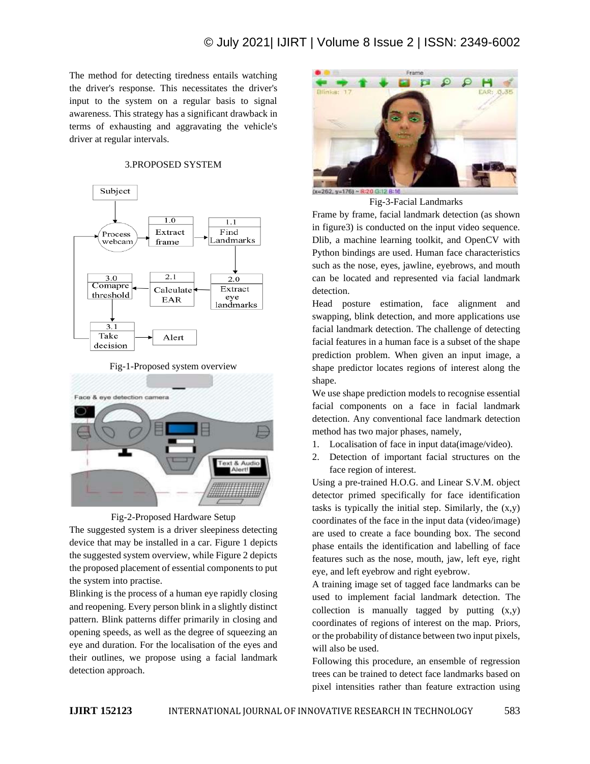The method for detecting tiredness entails watching the driver's response. This necessitates the driver's input to the system on a regular basis to signal awareness. This strategy has a significant drawback in terms of exhausting and aggravating the vehicle's driver at regular intervals.

# 3.PROPOSED SYSTEM



Fig-1-Proposed system overview



Fig-2-Proposed Hardware Setup

The suggested system is a driver sleepiness detecting device that may be installed in a car. Figure 1 depicts the suggested system overview, while Figure 2 depicts the proposed placement of essential components to put the system into practise.

Blinking is the process of a human eye rapidly closing and reopening. Every person blink in a slightly distinct pattern. Blink patterns differ primarily in closing and opening speeds, as well as the degree of squeezing an eye and duration. For the localisation of the eyes and their outlines, we propose using a facial landmark detection approach.



Fig-3-Facial Landmarks

Frame by frame, facial landmark detection (as shown in figure3) is conducted on the input video sequence. Dlib, a machine learning toolkit, and OpenCV with Python bindings are used. Human face characteristics such as the nose, eyes, jawline, eyebrows, and mouth can be located and represented via facial landmark detection.

Head posture estimation, face alignment and swapping, blink detection, and more applications use facial landmark detection. The challenge of detecting facial features in a human face is a subset of the shape prediction problem. When given an input image, a shape predictor locates regions of interest along the shape.

We use shape prediction models to recognise essential facial components on a face in facial landmark detection. Any conventional face landmark detection method has two major phases, namely,

- 1. Localisation of face in input data(image/video).
- 2. Detection of important facial structures on the face region of interest.

Using a pre-trained H.O.G. and Linear S.V.M. object detector primed specifically for face identification tasks is typically the initial step. Similarly, the  $(x,y)$ coordinates of the face in the input data (video/image) are used to create a face bounding box. The second phase entails the identification and labelling of face features such as the nose, mouth, jaw, left eye, right eye, and left eyebrow and right eyebrow.

A training image set of tagged face landmarks can be used to implement facial landmark detection. The collection is manually tagged by putting  $(x,y)$ coordinates of regions of interest on the map. Priors, or the probability of distance between two input pixels, will also be used.

Following this procedure, an ensemble of regression trees can be trained to detect face landmarks based on pixel intensities rather than feature extraction using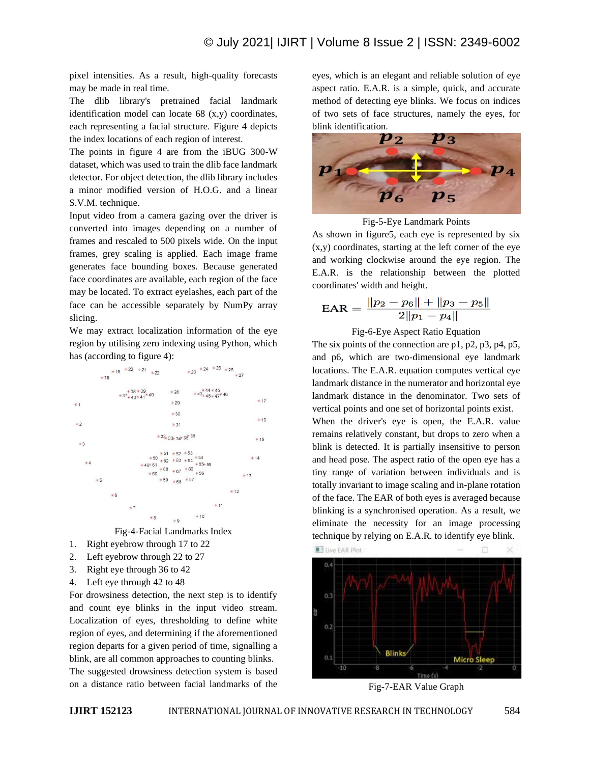pixel intensities. As a result, high-quality forecasts may be made in real time.

The dlib library's pretrained facial landmark identification model can locate 68 (x,y) coordinates, each representing a facial structure. Figure 4 depicts the index locations of each region of interest.

The points in figure 4 are from the iBUG 300-W dataset, which was used to train the dlib face landmark detector. For object detection, the dlib library includes a minor modified version of H.O.G. and a linear S.V.M. technique.

Input video from a camera gazing over the driver is converted into images depending on a number of frames and rescaled to 500 pixels wide. On the input frames, grey scaling is applied. Each image frame generates face bounding boxes. Because generated face coordinates are available, each region of the face may be located. To extract eyelashes, each part of the face can be accessible separately by NumPy array slicing.

We may extract localization information of the eye region by utilising zero indexing using Python, which



Fig-4-Facial Landmarks Index

- 1. Right eyebrow through 17 to 22
- 2. Left eyebrow through 22 to 27
- 3. Right eye through 36 to 42
- 4. Left eye through 42 to 48

For drowsiness detection, the next step is to identify and count eye blinks in the input video stream. Localization of eyes, thresholding to define white region of eyes, and determining if the aforementioned region departs for a given period of time, signalling a blink, are all common approaches to counting blinks. The suggested drowsiness detection system is based on a distance ratio between facial landmarks of the

eyes, which is an elegant and reliable solution of eye aspect ratio. E.A.R. is a simple, quick, and accurate method of detecting eye blinks. We focus on indices of two sets of face structures, namely the eyes, for blink identification.



Fig-5-Eye Landmark Points

As shown in figure5, each eye is represented by six (x,y) coordinates, starting at the left corner of the eye and working clockwise around the eye region. The E.A.R. is the relationship between the plotted coordinates' width and height.

$$
\text{EAR} = \frac{\|p_2 - p_6\| + \|p_3 - p_5\|}{2\|p_1 - p_4\|}
$$

# Fig-6-Eye Aspect Ratio Equation

The six points of the connection are p1, p2, p3, p4, p5, and p6, which are two-dimensional eye landmark locations. The E.A.R. equation computes vertical eye landmark distance in the numerator and horizontal eye landmark distance in the denominator. Two sets of vertical points and one set of horizontal points exist. When the driver's eye is open, the E.A.R. value remains relatively constant, but drops to zero when a blink is detected. It is partially insensitive to person and head pose. The aspect ratio of the open eye has a tiny range of variation between individuals and is totally invariant to image scaling and in-plane rotation of the face. The EAR of both eyes is averaged because blinking is a synchronised operation. As a result, we



eliminate the necessity for an image processing

Fig-7-EAR Value Graph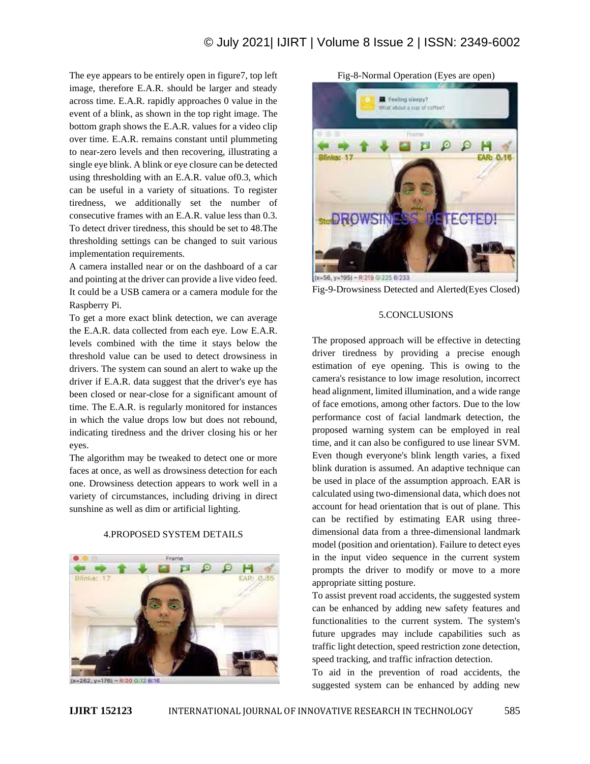The eye appears to be entirely open in figure7, top left image, therefore E.A.R. should be larger and steady across time. E.A.R. rapidly approaches 0 value in the event of a blink, as shown in the top right image. The bottom graph shows the E.A.R. values for a video clip over time. E.A.R. remains constant until plummeting to near-zero levels and then recovering, illustrating a single eye blink. A blink or eye closure can be detected using thresholding with an E.A.R. value of0.3, which can be useful in a variety of situations. To register tiredness, we additionally set the number of consecutive frames with an E.A.R. value less than 0.3. To detect driver tiredness, this should be set to 48.The thresholding settings can be changed to suit various implementation requirements.

A camera installed near or on the dashboard of a car and pointing at the driver can provide a live video feed. It could be a USB camera or a camera module for the Raspberry Pi.

To get a more exact blink detection, we can average the E.A.R. data collected from each eye. Low E.A.R. levels combined with the time it stays below the threshold value can be used to detect drowsiness in drivers. The system can sound an alert to wake up the driver if E.A.R. data suggest that the driver's eye has been closed or near-close for a significant amount of time. The E.A.R. is regularly monitored for instances in which the value drops low but does not rebound, indicating tiredness and the driver closing his or her eyes.

The algorithm may be tweaked to detect one or more faces at once, as well as drowsiness detection for each one. Drowsiness detection appears to work well in a variety of circumstances, including driving in direct sunshine as well as dim or artificial lighting.



4.PROPOSED SYSTEM DETAILS

Fig-8-Normal Operation (Eyes are open)



Fig-9-Drowsiness Detected and Alerted(Eyes Closed)

#### 5.CONCLUSIONS

The proposed approach will be effective in detecting driver tiredness by providing a precise enough estimation of eye opening. This is owing to the camera's resistance to low image resolution, incorrect head alignment, limited illumination, and a wide range of face emotions, among other factors. Due to the low performance cost of facial landmark detection, the proposed warning system can be employed in real time, and it can also be configured to use linear SVM. Even though everyone's blink length varies, a fixed blink duration is assumed. An adaptive technique can be used in place of the assumption approach. EAR is calculated using two-dimensional data, which does not account for head orientation that is out of plane. This can be rectified by estimating EAR using threedimensional data from a three-dimensional landmark model (position and orientation). Failure to detect eyes in the input video sequence in the current system prompts the driver to modify or move to a more appropriate sitting posture.

To assist prevent road accidents, the suggested system can be enhanced by adding new safety features and functionalities to the current system. The system's future upgrades may include capabilities such as traffic light detection, speed restriction zone detection, speed tracking, and traffic infraction detection.

To aid in the prevention of road accidents, the suggested system can be enhanced by adding new